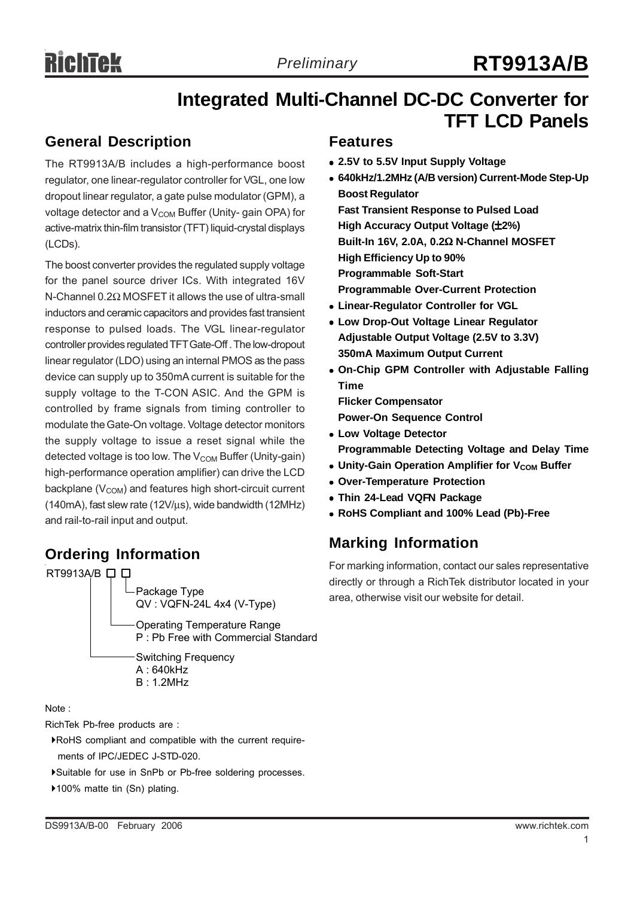# **Integrated Multi-Channel DC-DC Converter for TFT LCD Panels**

### **General Description**

The RT9913A/B includes a high-performance boost regulator, one linear-regulator controller for VGL, one low dropout linear regulator, a gate pulse modulator (GPM), a voltage detector and a  $V_{COM}$  Buffer (Unity- gain OPA) for active-matrix thin-film transistor (TFT) liquid-crystal displays (LCDs).

The boost converter provides the regulated supply voltage for the panel source driver ICs. With integrated 16V N-Channel 0.2Ω MOSFET it allows the use of ultra-small inductors and ceramic capacitors and provides fast transient response to pulsed loads. The VGL linear-regulator controller provides regulated TFT Gate-Off . The low-dropout linear regulator (LDO) using an internal PMOS as the pass device can supply up to 350mA current is suitable for the supply voltage to the T-CON ASIC. And the GPM is controlled by frame signals from timing controller to modulate the Gate-On voltage. Voltage detector monitors the supply voltage to issue a reset signal while the detected voltage is too low. The  $V_{COM}$  Buffer (Unity-gain) high-performance operation amplifier) can drive the LCD backplane ( $V_{COM}$ ) and features high short-circuit current (140mA), fast slew rate (12V/μs), wide bandwidth (12MHz) and rail-to-rail input and output.

### **Ordering Information**



Note :

RichTek Pb-free products are :

`RoHS compliant and compatible with the current require ments of IPC/JEDEC J-STD-020.

- `Suitable for use in SnPb or Pb-free soldering processes.
- ▶100% matte tin (Sn) plating.

### **Features**

- 2.5V to 5.5V Input Supply Voltage
- <sup>z</sup> **640kHz/1.2MHz (A/B version) Current-Mode Step-Up Boost Regulator**

**Fast Transient Response to Pulsed Load High Accuracy Output Voltage (**±**2%) Built-In 16V, 2.0A, 0.2**Ω **N-Channel MOSFET High Efficiency Up to 90% Programmable Soft-Start Programmable Over-Current Protection**

- **Linear-Regulator Controller for VGL**
- **Low Drop-Out Voltage Linear Regulator Adjustable Output Voltage (2.5V to 3.3V) 350mA Maximum Output Current**
- **On-Chip GPM Controller with Adjustable Falling Time**

**Flicker Compensator Power-On Sequence Control**

- **Low Voltage Detector Programmable Detecting Voltage and Delay Time**
- Unity-Gain Operation Amplifier for V<sub>COM</sub> Buffer
- **Over-Temperature Protection**
- <sup>z</sup> **Thin 24-Lead VQFN Package**
- <sup>z</sup> **RoHS Compliant and 100% Lead (Pb)-Free**

# **Marking Information**

For marking information, contact our sales representative directly or through a RichTek distributor located in your area, otherwise visit our website for detail.

1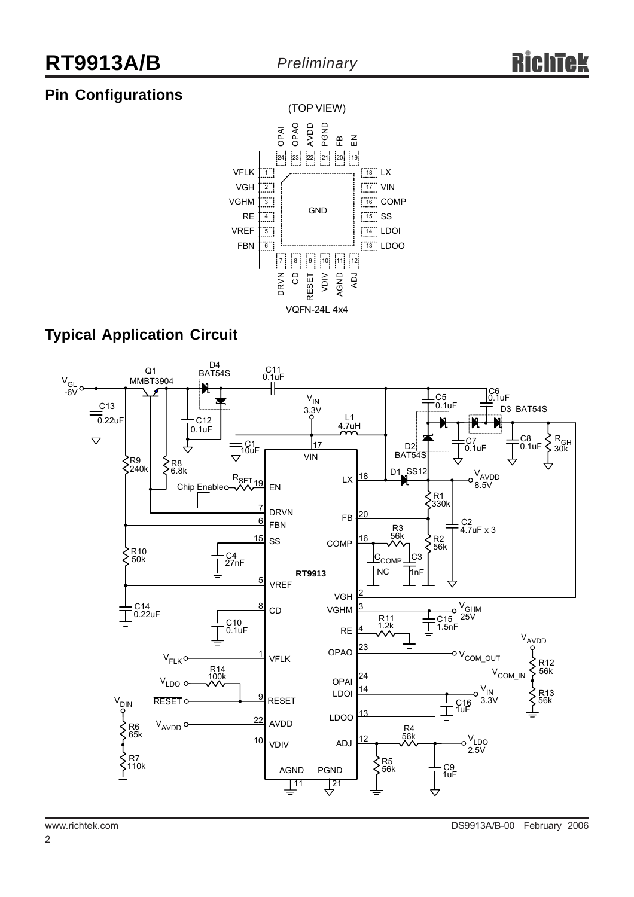# **Pin Configurations**



# **Typical Application Circuit**

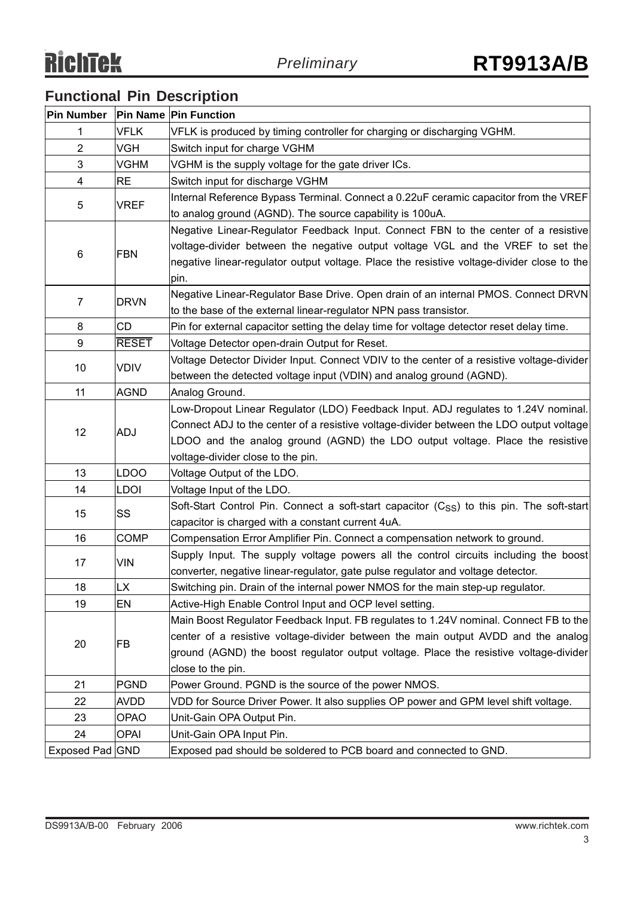# **Functional Pin Description**

| Pin Number   Pin Name   Pin Function |              |                                                                                               |
|--------------------------------------|--------------|-----------------------------------------------------------------------------------------------|
| 1                                    | <b>VFLK</b>  | VFLK is produced by timing controller for charging or discharging VGHM.                       |
| $\overline{2}$                       | VGH          | Switch input for charge VGHM                                                                  |
| 3                                    | <b>VGHM</b>  | VGHM is the supply voltage for the gate driver ICs.                                           |
| 4                                    | <b>RE</b>    | Switch input for discharge VGHM                                                               |
|                                      |              | Internal Reference Bypass Terminal. Connect a 0.22uF ceramic capacitor from the VREF          |
| 5                                    | <b>VREF</b>  | to analog ground (AGND). The source capability is 100uA.                                      |
|                                      |              | Negative Linear-Regulator Feedback Input. Connect FBN to the center of a resistive            |
|                                      |              | voltage-divider between the negative output voltage VGL and the VREF to set the               |
| 6                                    | <b>FBN</b>   | negative linear-regulator output voltage. Place the resistive voltage-divider close to the    |
|                                      |              | pin.                                                                                          |
|                                      |              | Negative Linear-Regulator Base Drive. Open drain of an internal PMOS. Connect DRVN            |
| $\overline{7}$                       | <b>DRVN</b>  | to the base of the external linear-regulator NPN pass transistor.                             |
| 8                                    | CD           | Pin for external capacitor setting the delay time for voltage detector reset delay time.      |
| 9                                    | <b>RESET</b> | Voltage Detector open-drain Output for Reset.                                                 |
|                                      | <b>VDIV</b>  | Voltage Detector Divider Input. Connect VDIV to the center of a resistive voltage-divider     |
| 10                                   |              | between the detected voltage input (VDIN) and analog ground (AGND).                           |
| 11                                   | <b>AGND</b>  | Analog Ground.                                                                                |
|                                      | ADJ          | Low-Dropout Linear Regulator (LDO) Feedback Input. ADJ regulates to 1.24V nominal.            |
| 12                                   |              | Connect ADJ to the center of a resistive voltage-divider between the LDO output voltage       |
|                                      |              | LDOO and the analog ground (AGND) the LDO output voltage. Place the resistive                 |
|                                      |              | voltage-divider close to the pin.                                                             |
| 13                                   | <b>LDOO</b>  | Voltage Output of the LDO.                                                                    |
| 14                                   | LDOI         | Voltage Input of the LDO.                                                                     |
| 15                                   | SS           | Soft-Start Control Pin. Connect a soft-start capacitor $(C_{SS})$ to this pin. The soft-start |
|                                      |              | capacitor is charged with a constant current 4uA.                                             |
| 16                                   | <b>COMP</b>  | Compensation Error Amplifier Pin. Connect a compensation network to ground.                   |
| 17                                   | VIN          | Supply Input. The supply voltage powers all the control circuits including the boost          |
|                                      |              | converter, negative linear-regulator, gate pulse regulator and voltage detector.              |
| 18                                   | LX           | Switching pin. Drain of the internal power NMOS for the main step-up regulator.               |
| 19                                   | EN           | Active-High Enable Control Input and OCP level setting.                                       |
|                                      | <b>FB</b>    | Main Boost Regulator Feedback Input. FB regulates to 1.24V nominal. Connect FB to the         |
| 20                                   |              | center of a resistive voltage-divider between the main output AVDD and the analog             |
|                                      |              | ground (AGND) the boost regulator output voltage. Place the resistive voltage-divider         |
|                                      |              | close to the pin.                                                                             |
| 21                                   | <b>PGND</b>  | Power Ground. PGND is the source of the power NMOS.                                           |
| 22                                   | <b>AVDD</b>  | VDD for Source Driver Power. It also supplies OP power and GPM level shift voltage.           |
| 23                                   | OPAO         | Unit-Gain OPA Output Pin.                                                                     |
| 24                                   | <b>OPAI</b>  | Unit-Gain OPA Input Pin.                                                                      |
| Exposed Pad GND                      |              | Exposed pad should be soldered to PCB board and connected to GND.                             |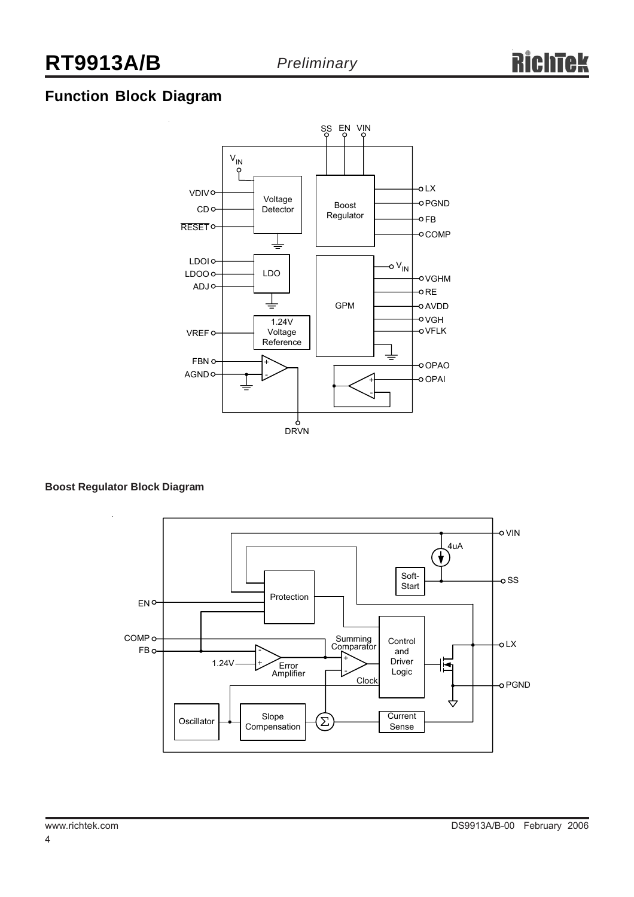# **Function Block Diagram**



#### **Boost Regulator Block Diagram**

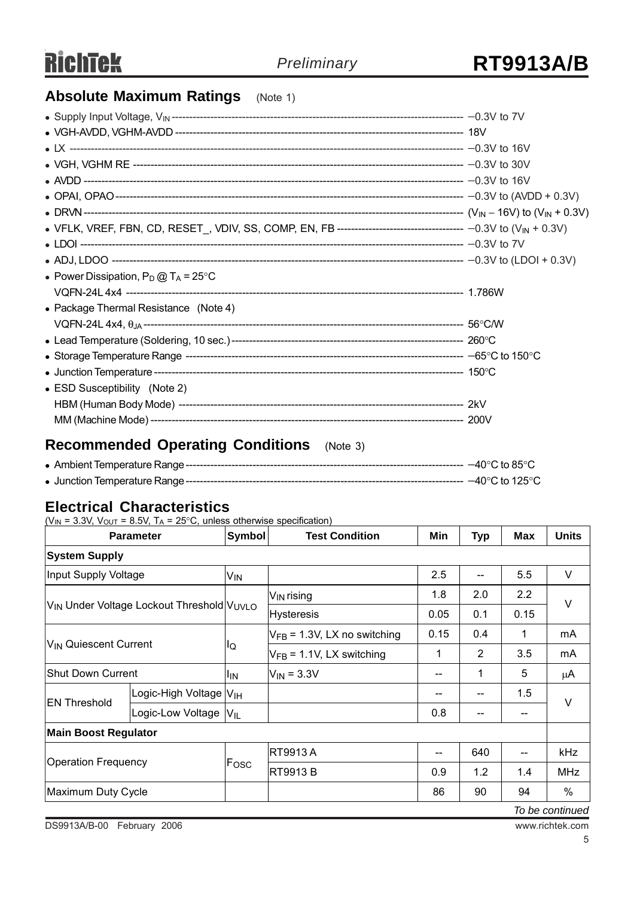# **Absolute Maximum Ratings** (Note 1)

| • Power Dissipation, $P_D @ T_A = 25^{\circ}C$ |  |
|------------------------------------------------|--|
|                                                |  |
| • Package Thermal Resistance (Note 4)          |  |
|                                                |  |
|                                                |  |
|                                                |  |
|                                                |  |
| • ESD Susceptibility (Note 2)                  |  |
|                                                |  |
|                                                |  |

# **Recommended Operating Conditions** (Note 3)

### **Electrical Characteristics**

| <b>Parameter</b>                                                  |                                      | Symbol          | <b>Test Condition</b>            | Min  | Typ | <b>Max</b> | <b>Units</b> |  |
|-------------------------------------------------------------------|--------------------------------------|-----------------|----------------------------------|------|-----|------------|--------------|--|
| <b>System Supply</b>                                              |                                      |                 |                                  |      |     |            |              |  |
| Input Supply Voltage                                              |                                      | V <sub>IN</sub> |                                  | 2.5  |     | 5.5        | V            |  |
| V <sub>IN</sub> Under Voltage Lockout Threshold V <sub>UVLO</sub> |                                      |                 | V <sub>IN</sub> rising           | 1.8  | 2.0 | 2.2        | $\vee$       |  |
|                                                                   |                                      |                 | <b>Hysteresis</b>                | 0.05 | 0.1 | 0.15       |              |  |
| V <sub>IN</sub> Quiescent Current                                 |                                      | lQ              | $V_{FB}$ = 1.3V, LX no switching | 0.15 | 0.4 | 1          | mA           |  |
|                                                                   |                                      |                 | $V_{FB}$ = 1.1V, LX switching    | 1    | 2   | 3.5        | mA           |  |
| Shut Down Current                                                 |                                      | <sup>I</sup> IN | $V_{IN} = 3.3V$                  |      | 1   | 5          | μA           |  |
| <b>EN Threshold</b>                                               | Logic-High Voltage   V <sub>IH</sub> |                 |                                  |      |     | 1.5        | V            |  |
|                                                                   | Logic-Low Voltage   VIL              |                 |                                  | 0.8  | --  | --         |              |  |
| <b>Main Boost Regulator</b>                                       |                                      |                 |                                  |      |     |            |              |  |
| Operation Frequency                                               |                                      |                 | RT9913A                          | --   | 640 | --         | kHz          |  |
|                                                                   |                                      | Fosc            | <b>RT9913 B</b>                  | 0.9  | 1.2 | 1.4        | <b>MHz</b>   |  |
| Maximum Duty Cycle                                                |                                      |                 |                                  | 86   | 90  | 94         | $\%$         |  |

*To be continued*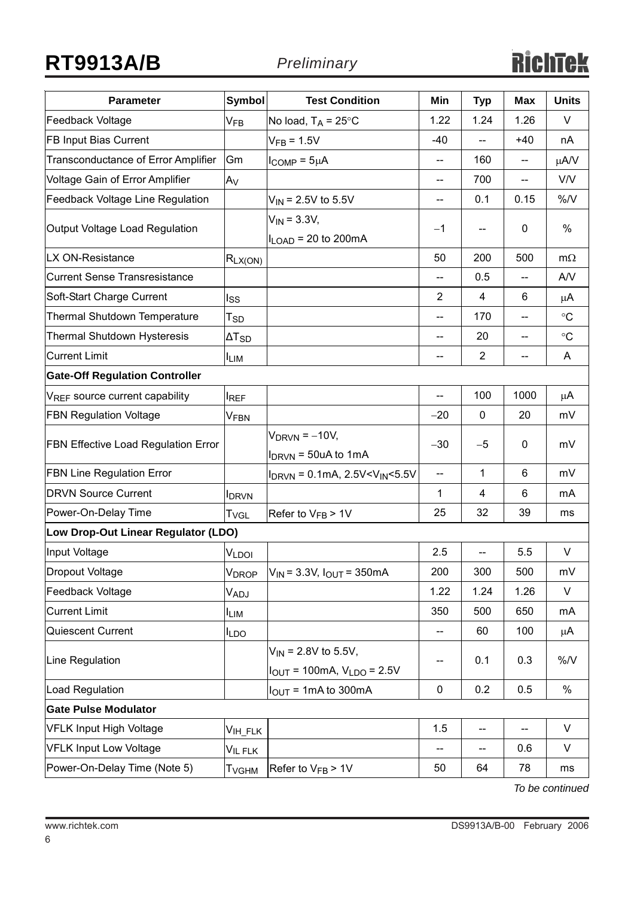# **RT9913A/B** *Preliminary*

| <b>Parameter</b>                           | <b>Symbol</b>            | <b>Test Condition</b>                                         | Min                      | <b>Typ</b>     | <b>Max</b>     | <b>Units</b>    |
|--------------------------------------------|--------------------------|---------------------------------------------------------------|--------------------------|----------------|----------------|-----------------|
| Feedback Voltage                           | $V_{FB}$                 | No load, $T_A = 25^{\circ}C$                                  | 1.22                     | 1.24           | 1.26           | V               |
| FB Input Bias Current                      |                          | $VFB = 1.5V$                                                  | $-40$                    |                | $+40$          | nA              |
| Transconductance of Error Amplifier        | Gm                       | $I_{COMP} = 5\mu A$                                           | --                       | 160            | --             | μA/V            |
| Voltage Gain of Error Amplifier            | <b>IA<sub>V</sub></b>    |                                                               |                          | 700            |                | V/V             |
| <b>Feedback Voltage Line Regulation</b>    |                          | $V_{IN}$ = 2.5V to 5.5V                                       | --                       | 0.1            | 0.15           | %N              |
| Output Voltage Load Regulation             |                          | $V_{IN} = 3.3V,$<br>$I_{\text{LOAD}}$ = 20 to 200mA           | $-1$                     | --             | $\mathbf{0}$   | %               |
| LX ON-Resistance                           | $R_{LX(ON)}$             |                                                               | 50                       | 200            | 500            | $m\Omega$       |
| <b>Current Sense Transresistance</b>       |                          |                                                               | $-$                      | 0.5            |                | A/V             |
| Soft-Start Charge Current                  | lss                      |                                                               | $\overline{2}$           | 4              | 6              | $\mu$ A         |
| Thermal Shutdown Temperature               | $T_{SD}$                 |                                                               | --                       | 170            | $-$            | $\rm ^{\circ}C$ |
| <b>Thermal Shutdown Hysteresis</b>         | $\Delta T_{SD}$          |                                                               | --                       | 20             | $\overline{a}$ | $\rm ^{\circ}C$ |
| <b>Current Limit</b>                       | <b>ILIM</b>              |                                                               | --                       | $\overline{2}$ | --             | A               |
| <b>Gate-Off Regulation Controller</b>      |                          |                                                               |                          |                |                |                 |
| V <sub>REF</sub> source current capability | <b>IREF</b>              |                                                               | --                       | 100            | 1000           | $\mu$ A         |
| <b>FBN Regulation Voltage</b>              | VFBN                     |                                                               | $-20$                    | $\mathbf 0$    | 20             | mV              |
| FBN Effective Load Regulation Error        |                          | $V_{DRVN} = -10V$ ,<br>$I_{DRVN}$ = 50uA to 1mA               | $-30$                    | $-5$           | $\mathbf{0}$   | mV              |
| <b>FBN Line Regulation Error</b>           |                          | $I_{DRVN}$ = 0.1mA, 2.5V < $V_{IN}$ < 5.5V                    | $\overline{\phantom{a}}$ | 1              | 6              | mV              |
| <b>DRVN Source Current</b>                 | <b>I</b> DRVN            |                                                               | 1                        | 4              | 6              | mA              |
| Power-On-Delay Time                        | T <sub>VGL</sub>         | Refer to $V_{FB}$ > 1V                                        | 25                       | 32             | 39             | ms              |
| Low Drop-Out Linear Regulator (LDO)        |                          |                                                               |                          |                |                |                 |
| Input Voltage                              | V <sub>LDOI</sub>        |                                                               | 2.5                      | $-$            | 5.5            | $\vee$          |
| Dropout Voltage                            | V <sub>DROP</sub>        | $V_{IN}$ = 3.3V, $I_{OUT}$ = 350mA                            | 200                      | 300            | 500            | mV              |
| Feedback Voltage                           | V <sub>ADJ</sub>         |                                                               | 1.22                     | 1.24           | 1.26           | V               |
| <b>Current Limit</b>                       | <b>I</b> LIM             |                                                               | 350                      | 500            | 650            | mA              |
| Quiescent Current                          | <b>ILDO</b>              |                                                               | --                       | 60             | 100            | $\mu$ A         |
| Line Regulation                            |                          | $V_{IN}$ = 2.8V to 5.5V,<br>$I_{OUT} = 100mA, V_{LDO} = 2.5V$ | -−                       | 0.1            | 0.3            | $\%N$           |
| Load Regulation                            |                          | $IOUT = 1mA to 300mA$                                         | 0                        | 0.2            | 0.5            | $\%$            |
| <b>Gate Pulse Modulator</b>                |                          |                                                               |                          |                |                |                 |
| <b>VFLK Input High Voltage</b>             | V <sub>IH_FLK</sub>      |                                                               | 1.5                      | --             | $-$            | $\vee$          |
| <b>VFLK Input Low Voltage</b>              | V <sub>IL FLK</sub>      |                                                               |                          | --             | 0.6            | V               |
| Power-On-Delay Time (Note 5)               | <b>T</b> <sub>VGHM</sub> | Refer to $V_{FB}$ > 1V                                        | 50                       | 64             | 78             | ms              |

*To be continued*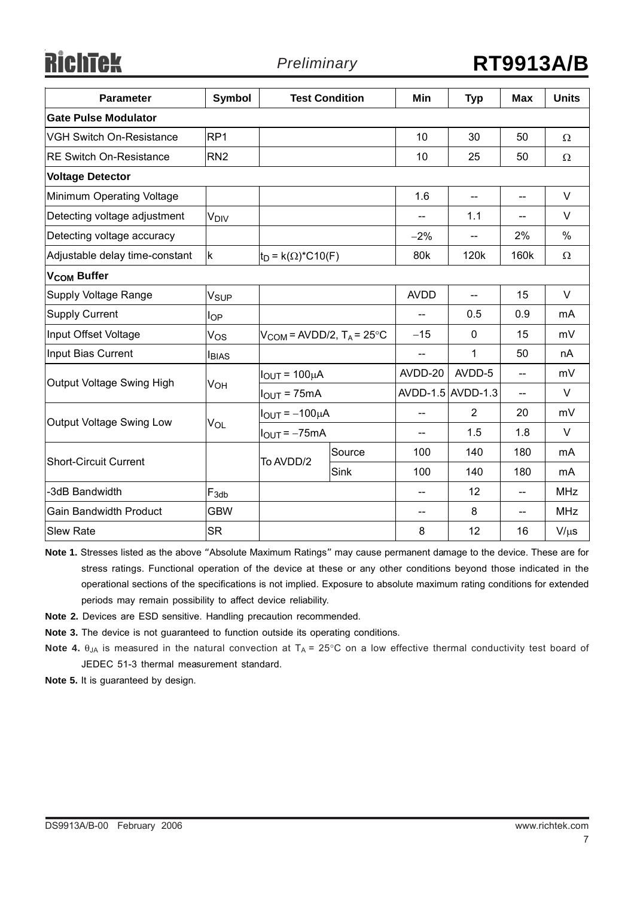**RichTek** 

| <b>Parameter</b>                | <b>Symbol</b>    |                                           | <b>Test Condition</b> | Min                        | <b>Typ</b>               | <b>Max</b>               | <b>Units</b> |
|---------------------------------|------------------|-------------------------------------------|-----------------------|----------------------------|--------------------------|--------------------------|--------------|
| <b>Gate Pulse Modulator</b>     |                  |                                           |                       |                            |                          |                          |              |
| <b>VGH Switch On-Resistance</b> | RP <sub>1</sub>  |                                           |                       | 10                         | 30                       | 50                       | Ω            |
| <b>RE Switch On-Resistance</b>  | RN <sub>2</sub>  |                                           |                       | 10                         | 25                       | 50                       | $\Omega$     |
| <b>Voltage Detector</b>         |                  |                                           |                       |                            |                          |                          |              |
| Minimum Operating Voltage       |                  |                                           |                       | 1.6                        | $\overline{\phantom{a}}$ | $\overline{\phantom{a}}$ | $\vee$       |
| Detecting voltage adjustment    | V <sub>DIV</sub> |                                           |                       |                            | 1.1                      | $-$                      | V            |
| Detecting voltage accuracy      |                  |                                           |                       | $-2%$                      |                          | 2%                       | $\%$         |
| Adjustable delay time-constant  | $\mathsf k$      | $ t_D = k(\Omega)^* C 10(F)$              |                       | 80 <sub>k</sub>            | 120k                     | 160k                     | Ω            |
| V <sub>COM</sub> Buffer         |                  |                                           |                       |                            |                          |                          |              |
| Supply Voltage Range            | Vsup             |                                           |                       | <b>AVDD</b>                | $-$                      | 15                       | $\vee$       |
| <b>Supply Current</b>           | l <sub>OP</sub>  |                                           |                       |                            | 0.5                      | 0.9                      | mA           |
| Input Offset Voltage            | Vos              | $V_{COM}$ = AVDD/2, T <sub>A</sub> = 25°C |                       | $-15$                      | 0                        | 15                       | mV           |
| Input Bias Current              | <b>I</b> BIAS    |                                           |                       | $\overline{\phantom{a}}$   | 1                        | 50                       | nA           |
| Output Voltage Swing High       | Vон              | $I_{OUT} = 100 \mu A$                     |                       | AVDD-20                    | AVDD-5                   | $-$                      | mV           |
|                                 |                  | $IOUT = 75mA$                             |                       |                            | AVDD-1.5 AVDD-1.3        | $\overline{\phantom{a}}$ | V            |
| Output Voltage Swing Low        | VOL              | $I_{OUT} = -100 \mu A$                    |                       | $-$                        | $\overline{2}$           | 20                       | mV           |
|                                 |                  | $IOUT = -75mA$                            |                       |                            | 1.5                      | 1.8                      | V            |
| <b>Short-Circuit Current</b>    |                  | To AVDD/2                                 | Source                | 100                        | 140                      | 180                      | mA           |
|                                 |                  |                                           | Sink                  | 100                        | 140                      | 180                      | mA           |
| -3dB Bandwidth                  | $F_{3db}$        |                                           |                       |                            | 12                       | $-$                      | <b>MHz</b>   |
| <b>Gain Bandwidth Product</b>   | <b>GBW</b>       |                                           |                       | $\qquad \qquad \text{---}$ | 8                        | $-$                      | <b>MHz</b>   |
| <b>Slew Rate</b>                | <b>SR</b>        |                                           |                       | 8                          | 12                       | 16                       | $V/\mu s$    |

**Note 1.** Stresses listed as the above "Absolute Maximum Ratings" may cause permanent damage to the device. These are for stress ratings. Functional operation of the device at these or any other conditions beyond those indicated in the operational sections of the specifications is not implied. Exposure to absolute maximum rating conditions for extended periods may remain possibility to affect device reliability.

- **Note 2.** Devices are ESD sensitive. Handling precaution recommended.
- **Note 3.** The device is not guaranteed to function outside its operating conditions.

**Note 4.** θ<sub>JA</sub> is measured in the natural convection at T<sub>A</sub> = 25°C on a low effective thermal conductivity test board of JEDEC 51-3 thermal measurement standard.

**Note 5.** It is guaranteed by design.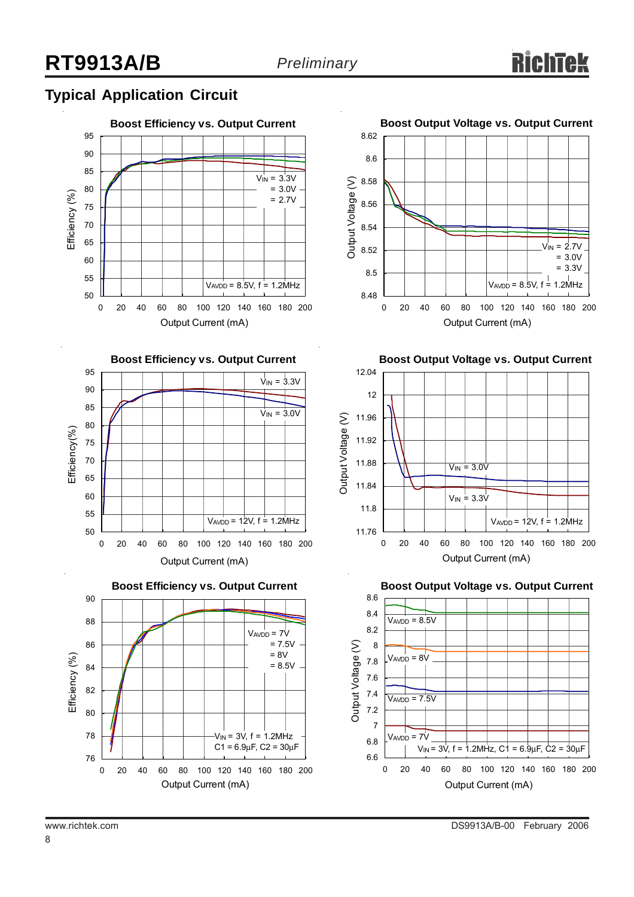# **Typical Application Circuit**









**Boost Output Voltage vs. Output Current**



**Boost Output Voltage vs. Output Current**



8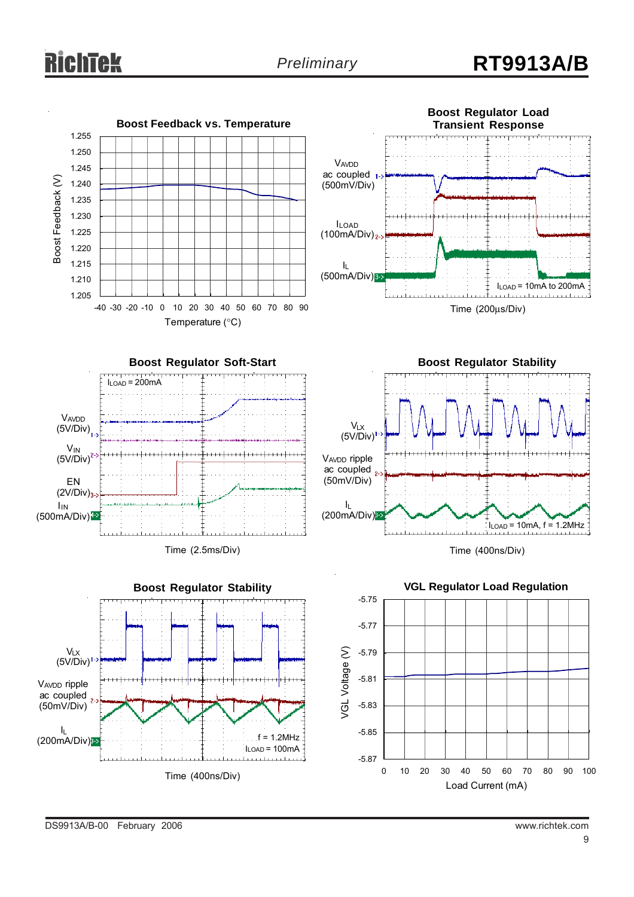# chtek

# *Preliminary* **RT9913A/B**

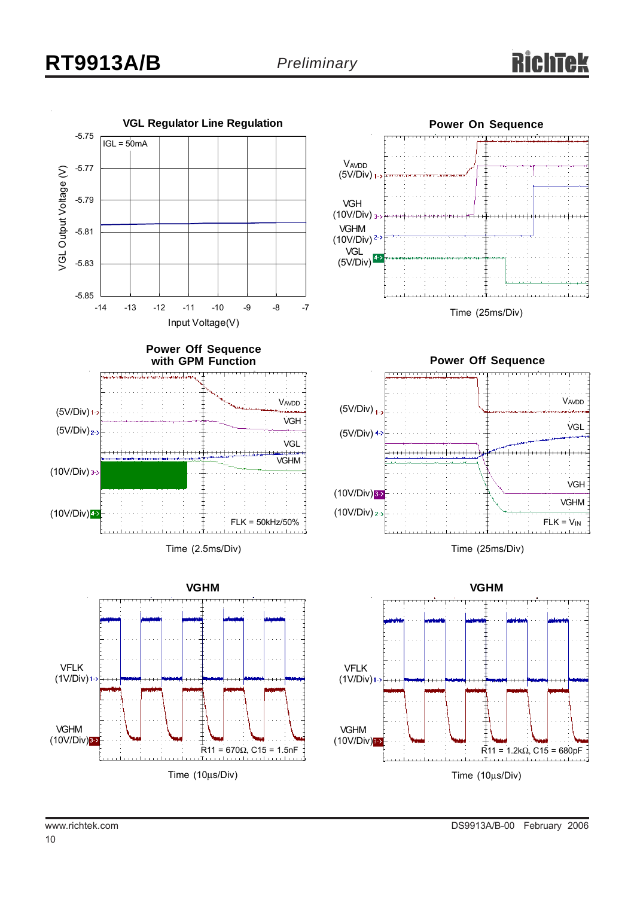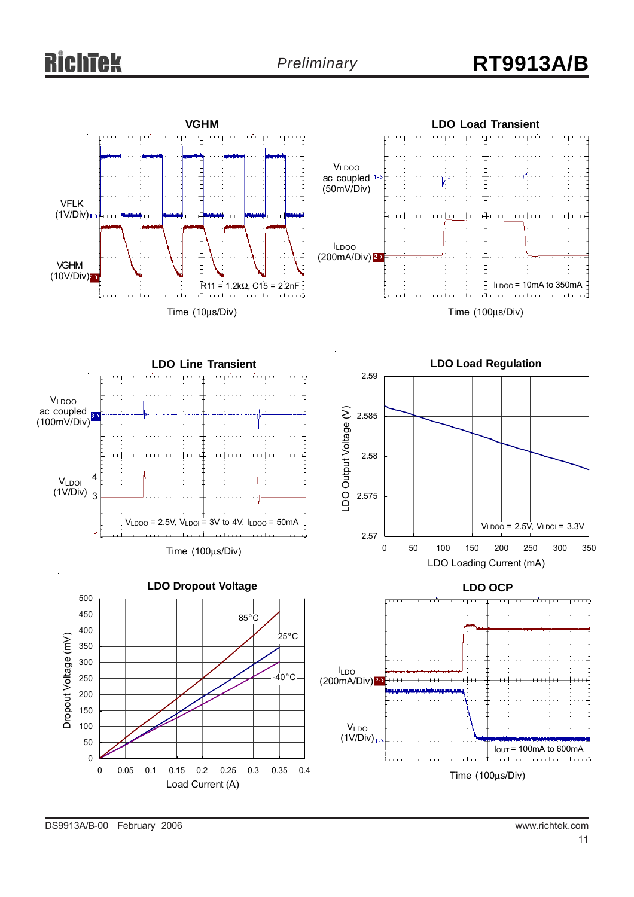# ichīek











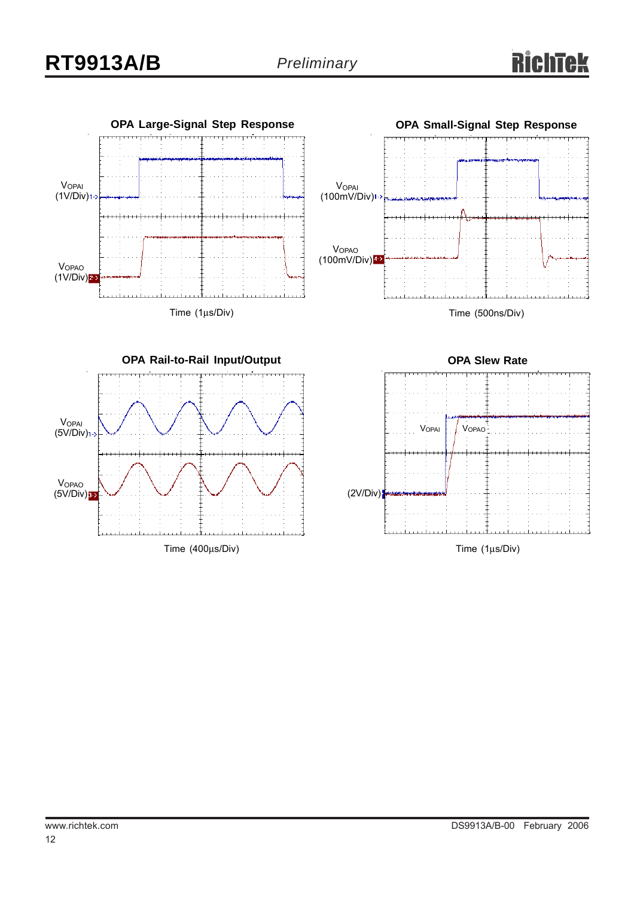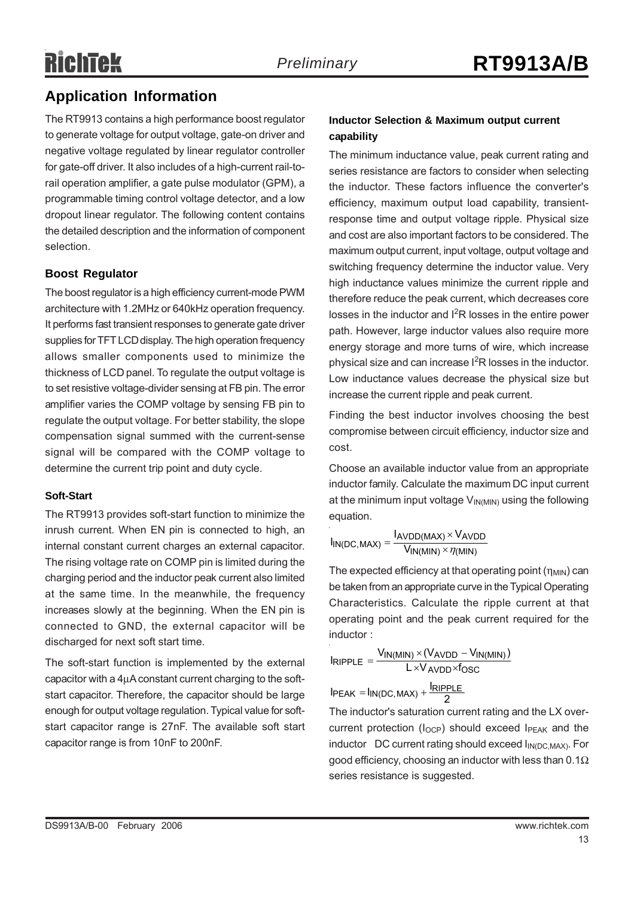# **Application Information**

The RT9913 contains a high performance boost regulator to generate voltage for output voltage, gate-on driver and negative voltage regulated by linear regulator controller for gate-off driver. It also includes of a high-current rail-torail operation amplifier, a gate pulse modulator (GPM), a programmable timing control voltage detector, and a low dropout linear regulator. The following content contains the detailed description and the information of component selection.

#### **Boost Regulator**

The boost regulator is a high efficiency current-mode PWM architecture with 1.2MHz or 640kHz operation frequency. It performs fast transient responses to generate gate driver supplies for TFT LCD display. The high operation frequency allows smaller components used to minimize the thickness of LCD panel. To regulate the output voltage is to set resistive voltage-divider sensing at FB pin. The error amplifier varies the COMP voltage by sensing FB pin to regulate the output voltage. For better stability, the slope compensation signal summed with the current-sense signal will be compared with the COMP voltage to determine the current trip point and duty cycle.

#### **Soft-Start**

The RT9913 provides soft-start function to minimize the inrush current. When EN pin is connected to high, an internal constant current charges an external capacitor. The rising voltage rate on COMP pin is limited during the charging period and the inductor peak current also limited at the same time. In the meanwhile, the frequency increases slowly at the beginning. When the EN pin is connected to GND, the external capacitor will be discharged for next soft start time.

The soft-start function is implemented by the external capacitor with a 4μA constant current charging to the softstart capacitor. Therefore, the capacitor should be large enough for output voltage regulation. Typical value for softstart capacitor range is 27nF. The available soft start capacitor range is from 10nF to 200nF.

#### **Inductor Selection & Maximum output current capability**

The minimum inductance value, peak current rating and series resistance are factors to consider when selecting the inductor. These factors influence the converter's efficiency, maximum output load capability, transientresponse time and output voltage ripple. Physical size and cost are also important factors to be considered. The maximum output current, input voltage, output voltage and switching frequency determine the inductor value. Very high inductance values minimize the current ripple and therefore reduce the peak current, which decreases core losses in the inductor and  $I<sup>2</sup>R$  losses in the entire power path. However, large inductor values also require more energy storage and more turns of wire, which increase physical size and can increase  $I^2R$  losses in the inductor. Low inductance values decrease the physical size but increase the current ripple and peak current.

Finding the best inductor involves choosing the best compromise between circuit efficiency, inductor size and cost.

Choose an available inductor value from an appropriate inductor family. Calculate the maximum DC input current at the minimum input voltage  $V_{IN(MIN)}$  using the following equation.

$$
I_{IN(DC,MAX)} = \frac{I_{AVDD(MAX)} \times V_{AVDD}}{V_{IN(MIN)} \times \eta_{(MIN)}}
$$

The expected efficiency at that operating point (η<sub>MIN</sub>) can be taken from an appropriate curve in the Typical Operating Characteristics. Calculate the ripple current at that operating point and the peak current required for the inductor :

$$
I_{RIPPLE} = \frac{V_{IN(MIN)} \times (V_{AVDD} - V_{IN(MIN)})}{L \times V_{AVDD} \times f_{OSC}}
$$

 $I_{\text{PEAK}} = I_{\text{IN(DC, MAX)}} + \frac{I_{\text{RIPPLE}}}{2}$ The inductor's saturation current rating and the LX overcurrent protection (I<sub>OCP</sub>) should exceed I<sub>PEAK</sub> and the inductor  $DC$  current rating should exceed  $I_{IN(DC, MAX)}$ . For good efficiency, choosing an inductor with less than  $0.1\Omega$ series resistance is suggested.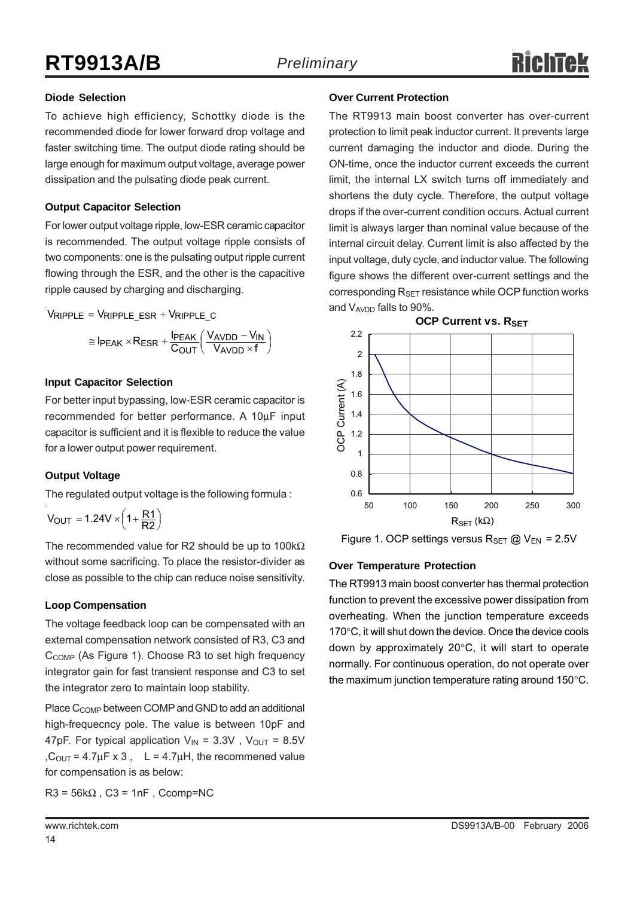#### **Diode Selection**

To achieve high efficiency, Schottky diode is the recommended diode for lower forward drop voltage and faster switching time. The output diode rating should be large enough for maximum output voltage, average power dissipation and the pulsating diode peak current.

#### **Output Capacitor Selection**

For lower output voltage ripple, low-ESR ceramic capacitor is recommended. The output voltage ripple consists of two components: one is the pulsating output ripple current flowing through the ESR, and the other is the capacitive ripple caused by charging and discharging.

$$
V_{RIPPLE} = V_{RIPPLE\_ESR} + V_{RIPPLE\_C}
$$

$$
\approx I_{PEAK} \times R_{ESR} + \frac{I_{PEAK}}{C_{OUT}} \left(\frac{V_{AVDD} - V_{IN}}{V_{AVDD} \times f}\right)
$$

#### **Input Capacitor Selection**

For better input bypassing, low-ESR ceramic capacitor is recommended for better performance. A 10μF input capacitor is sufficient and it is flexible to reduce the value for a lower output power requirement.

#### **Output Voltage**

The regulated output voltage is the following formula :

 $V_{\text{OUT}} = 1.24 V \times \left(1 + \frac{R1}{R2}\right)$ 

The recommended value for R2 should be up to 100kΩ without some sacrificing. To place the resistor-divider as close as possible to the chip can reduce noise sensitivity.

#### **Loop Compensation**

The voltage feedback loop can be compensated with an external compensation network consisted of R3, C3 and C<sub>COMP</sub> (As Figure 1). Choose R3 to set high frequency integrator gain for fast transient response and C3 to set the integrator zero to maintain loop stability.

Place C<sub>COMP</sub> between COMP and GND to add an additional high-frequecncy pole. The value is between 10pF and 47pF. For typical application  $V_{IN} = 3.3V$ ,  $V_{OUT} = 8.5V$ ,  $C_{\text{OUT}} = 4.7 \mu \text{F} \times 3$ , L = 4.7 $\mu$ H, the recommened value for compensation is as below:

 $R3 = 56k\Omega$ ,  $C3 = 1nF$ , Ccomp=NC

#### **Over Current Protection**

The RT9913 main boost converter has over-current protection to limit peak inductor current. It prevents large current damaging the inductor and diode. During the ON-time, once the inductor current exceeds the current limit, the internal LX switch turns off immediately and shortens the duty cycle. Therefore, the output voltage drops if the over-current condition occurs. Actual current limit is always larger than nominal value because of the internal circuit delay. Current limit is also affected by the input voltage, duty cycle, and inductor value. The following figure shows the different over-current settings and the corresponding  $R_{\text{SET}}$  resistance while OCP function works and V<sub>AVDD</sub> falls to 90%.



Figure 1. OCP settings versus  $R_{\text{SET}}$  @  $V_{\text{EN}}$  = 2.5V

#### **Over Temperature Protection**

The RT9913 main boost converter has thermal protection function to prevent the excessive power dissipation from overheating. When the junction temperature exceeds 170°C, it will shut down the device. Once the device cools down by approximately 20°C, it will start to operate normally. For continuous operation, do not operate over the maximum junction temperature rating around 150°C.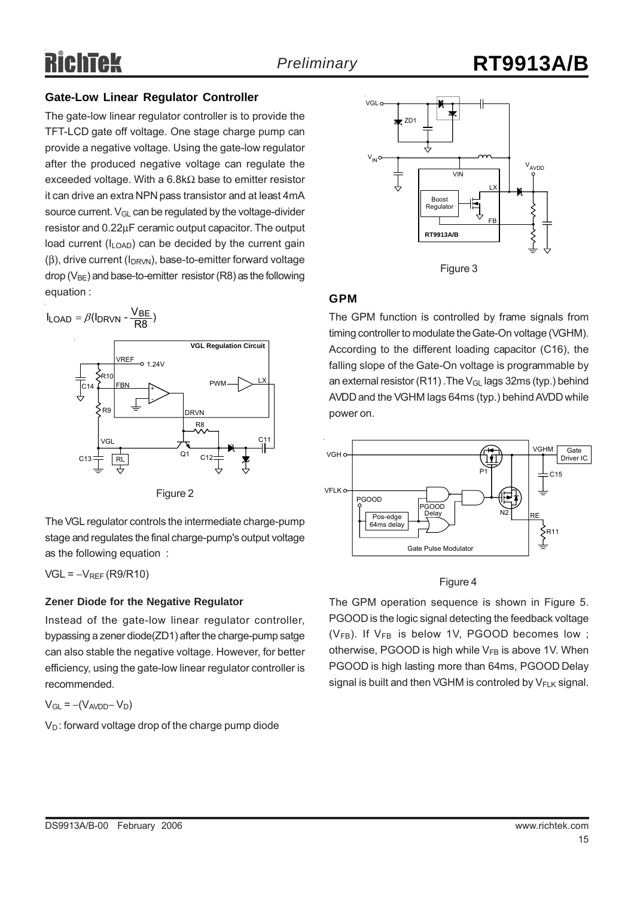#### **Gate-Low Linear Regulator Controller**

The gate-low linear regulator controller is to provide the TFT-LCD gate off voltage. One stage charge pump can provide a negative voltage. Using the gate-low regulator after the produced negative voltage can regulate the exceeded voltage. With a 6.8kΩ base to emitter resistor it can drive an extra NPN pass transistor and at least 4mA source current.  $V_{\text{GI}}$  can be regulated by the voltage-divider resistor and 0.22μF ceramic output capacitor. The output load current  $(I<sub>LOAD</sub>)$  can be decided by the current gain  $(\beta)$ , drive current ( $I_{DRVM}$ ), base-to-emitter forward voltage drop ( $V_{BF}$ ) and base-to-emitter resistor (R8) as the following equation :

 $I_{\text{LOAD}} = \beta (I_{\text{DRVN}} - \frac{V_{\text{BE}}}{R8})$ 



Figure 2

The VGL regulator controls the intermediate charge-pump stage and regulates the final charge-pump's output voltage as the following equation :

 $VGL = -V_{REF}(R9/R10)$ 

#### **Zener Diode for the Negative Regulator**

Instead of the gate-low linear regulator controller, bypassing a zener diode(ZD1) after the charge-pump satge can also stable the negative voltage. However, for better efficiency, using the gate-low linear regulator controller is recommended.

 $V_{GL} = -(V_{AVDD} - V_D)$ 

 $V_D$ : forward voltage drop of the charge pump diode



#### **GPM**

The GPM function is controlled by frame signals from timing controller to modulate the Gate-On voltage (VGHM). According to the different loading capacitor (C16), the falling slope of the Gate-On voltage is programmable by an external resistor (R11) .The V<sub>GL</sub> lags 32ms (typ.) behind AVDD and the VGHM lags 64ms (typ.) behind AVDD while power on.



#### Figure 4

The GPM operation sequence is shown in Figure 5. PGOOD is the logic signal detecting the feedback voltage  $(V_{FB})$ . If  $V_{FB}$  is below 1V, PGOOD becomes low; otherwise, PGOOD is high while  $V_{FB}$  is above 1V. When PGOOD is high lasting more than 64ms, PGOOD Delay signal is built and then VGHM is controled by  $V_{F-K}$  signal.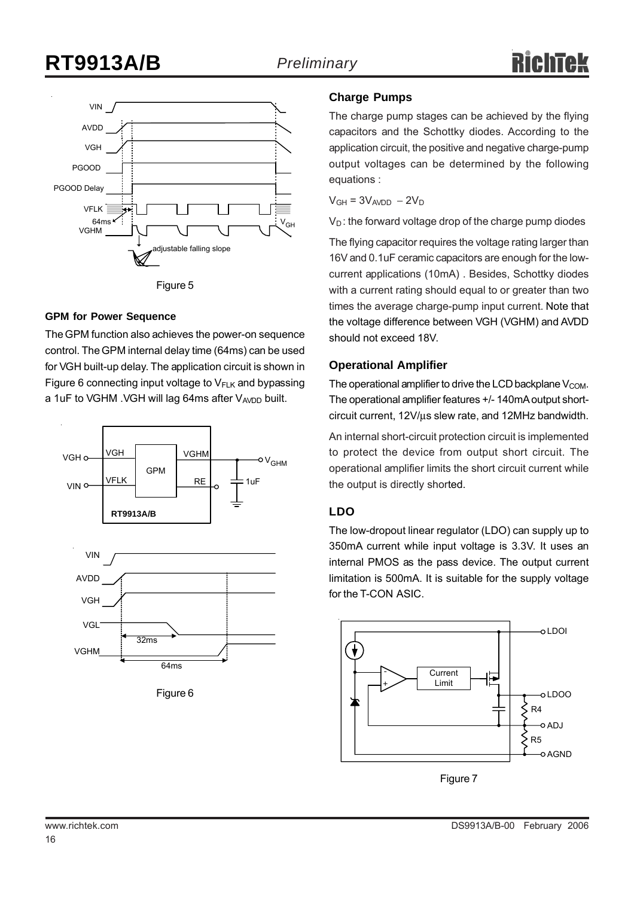

#### **GPM for Power Sequence**

The GPM function also achieves the power-on sequence control. The GPM internal delay time (64ms) can be used for VGH built-up delay. The application circuit is shown in Figure 6 connecting input voltage to  $V_{F-K}$  and bypassing a 1uF to VGHM . VGH will lag 64ms after  $V_{AVDD}$  built.



Figure 6

64ms

#### **Charge Pumps**

The charge pump stages can be achieved by the flying capacitors and the Schottky diodes. According to the application circuit, the positive and negative charge-pump output voltages can be determined by the following equations :

 $V<sub>GH</sub> = 3V<sub>AVDD</sub> - 2V<sub>D</sub>$ 

 $V_D$ : the forward voltage drop of the charge pump diodes

The flying capacitor requires the voltage rating larger than 16V and 0.1uF ceramic capacitors are enough for the lowcurrent applications (10mA) . Besides, Schottky diodes with a current rating should equal to or greater than two times the average charge-pump input current. Note that the voltage difference between VGH (VGHM) and AVDD should not exceed 18V.

#### **Operational Amplifier**

The operational amplifier to drive the LCD backplane  $V_{COM}$ . The operational amplifier features +/- 140mA output shortcircuit current, 12V/μs slew rate, and 12MHz bandwidth.

An internal short-circuit protection circuit is implemented to protect the device from output short circuit. The operational amplifier limits the short circuit current while the output is directly shorted.

#### **LDO**

The low-dropout linear regulator (LDO) can supply up to 350mA current while input voltage is 3.3V. It uses an internal PMOS as the pass device. The output current limitation is 500mA. It is suitable for the supply voltage for the T-CON ASIC.



Figure 7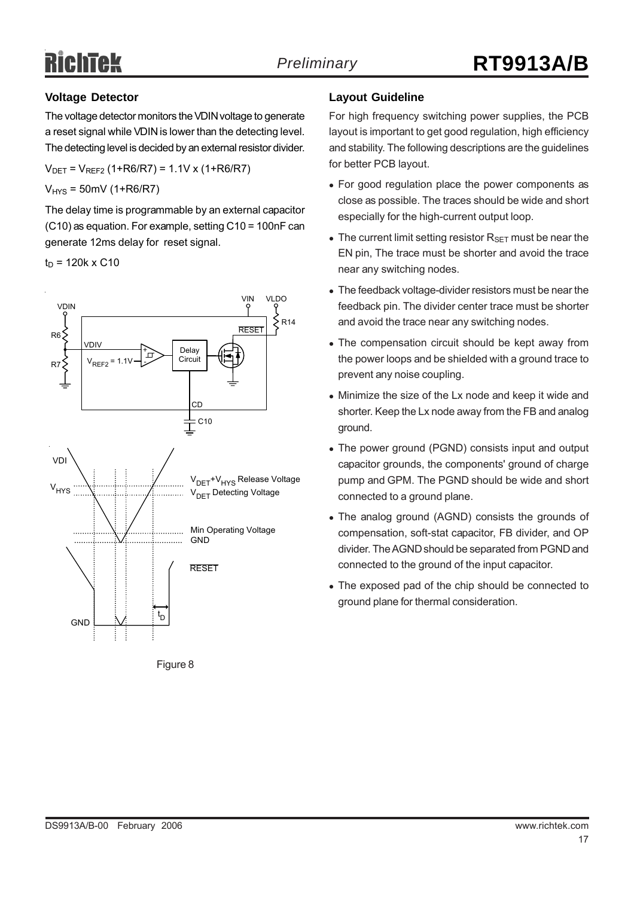#### **Voltage Detector**

The voltage detector monitors the VDIN voltage to generate a reset signal while VDIN is lower than the detecting level. The detecting level is decided by an external resistor divider.

 $V_{DET} = V_{REF2} (1+R6/R7) = 1.1V x (1+R6/R7)$ 

 $V_{HYS} = 50$ mV (1+R6/R7)

The delay time is programmable by an external capacitor (C10) as equation. For example, setting C10 = 100nF can generate 12ms delay for reset signal.

 $t_D$  = 120k x C10





#### **Layout Guideline**

For high frequency switching power supplies, the PCB layout is important to get good regulation, high efficiency and stability. The following descriptions are the guidelines for better PCB layout.

- For good regulation place the power components as close as possible. The traces should be wide and short especially for the high-current output loop.
- The current limit setting resistor  $R_{\text{SET}}$  must be near the EN pin, The trace must be shorter and avoid the trace near any switching nodes.
- The feedback voltage-divider resistors must be near the feedback pin. The divider center trace must be shorter and avoid the trace near any switching nodes.
- The compensation circuit should be kept away from the power loops and be shielded with a ground trace to prevent any noise coupling.
- Minimize the size of the Lx node and keep it wide and shorter. Keep the Lx node away from the FB and analog ground.
- The power ground (PGND) consists input and output capacitor grounds, the components' ground of charge pump and GPM. The PGND should be wide and short connected to a ground plane.
- The analog ground (AGND) consists the grounds of compensation, soft-stat capacitor, FB divider, and OP divider. The AGND should be separated from PGND and connected to the ground of the input capacitor.
- The exposed pad of the chip should be connected to ground plane for thermal consideration.